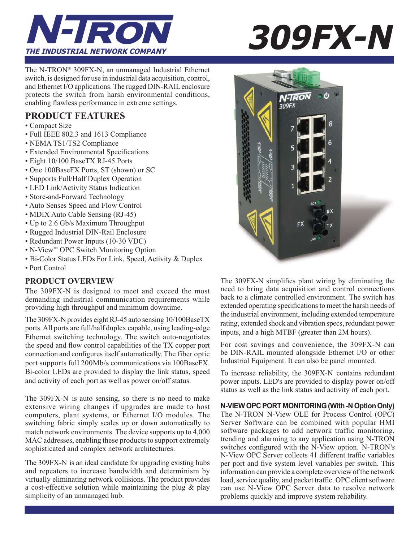

The N-TRON® 309FX-N, an unmanaged Industrial Ethernet switch, is designed for use in industrial data acquisition, control, and Ethernet I/O applications. The rugged DIN-RAIL enclosure protects the switch from harsh environmental conditions, enabling flawless performance in extreme settings.

## **PRODUCT FEATURES**

- Compact Size
- Full IEEE 802.3 and 1613 Compliance
- NEMA TS1/TS2 Compliance
- Extended Environmental Specifications
- Eight 10/100 BaseTX RJ-45 Ports
- One 100BaseFX Ports, ST (shown) or SC
- Supports Full/Half Duplex Operation
- LED Link/Activity Status Indication
- Store-and-Forward Technology
- Auto Senses Speed and Flow Control
- MDIX Auto Cable Sensing (RJ-45)
- Up to 2.6 Gb/s Maximum Throughput
- Rugged Industrial DIN-Rail Enclosure
- Redundant Power Inputs (10-30 VDC)
- N-View™ OPC Switch Monitoring Option
- Bi-Color Status LEDs For Link, Speed, Activity & Duplex
- Port Control

### **PRODUCT OVERVIEW**

The 309FX-N is designed to meet and exceed the most demanding industrial communication requirements while providing high throughput and minimum downtime.

The 309FX-N provides eight RJ-45 auto sensing 10/100BaseTX ports. All ports are full/half duplex capable, using leading-edge Ethernet switching technology. The switch auto-negotiates the speed and flow control capabilities of the TX copper port connection and configures itself automatically. The fiber optic port supports full 200Mb/s communications via 100BaseFX. Bi-color LEDs are provided to display the link status, speed and activity of each port as well as power on/off status.

The 309FX-N is auto sensing, so there is no need to make extensive wiring changes if upgrades are made to host computers, plant systems, or Ethernet I/O modules. The switching fabric simply scales up or down automatically to match network environments. The device supports up to 4,000 MAC addresses, enabling these products to support extremely sophisticated and complex network architectures.

The 309FX-N is an ideal candidate for upgrading existing hubs and repeaters to increase bandwidth and determinism by virtually eliminating network collisions. The product provides a cost-effective solution while maintaining the plug & play simplicity of an unmanaged hub.



The 309FX-N simplifies plant wiring by eliminating the need to bring data acquisition and control connections back to a climate controlled environment. The switch has extended operating specifications to meet the harsh needs of the industrial environment, including extended temperature rating, extended shock and vibration specs, redundant power inputs, and a high MTBF (greater than 2M hours).

For cost savings and convenience, the 309FX-N can be DIN-RAIL mounted alongside Ethernet I/O or other Industrial Equipment. It can also be panel mounted.

To increase reliability, the 309FX-N contains redundant power inputs. LED's are provided to display power on/off status as well as the link status and activity of each port.

### **N-VIEW OPC PORT MONITORING (With -N Option Only)**

The N-TRON N-View OLE for Process Control (OPC) Server Software can be combined with popular HMI software packages to add network traffic monitoring, trending and alarming to any application using N-TRON switches configured with the N-View option. N-TRON's N-View OPC Server collects 41 different traffic variables per port and five system level variables per switch. This information can provide a complete overview of the network load, service quality, and packet traffic. OPC client software can use N-View OPC Server data to resolve network problems quickly and improve system reliability.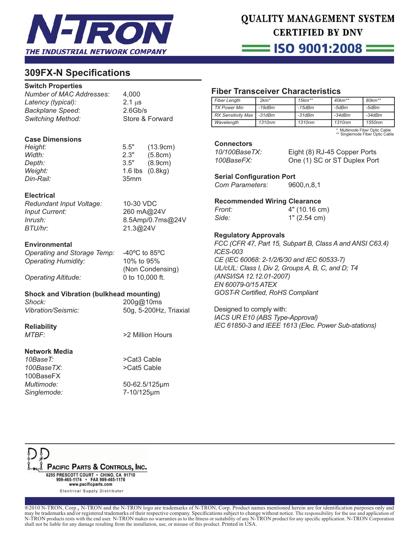

# QUALITY MANAGEMENT SYSTEM **CERTIFIED BY DNV**

== ISO 9001:2008 =

## **309FX-N Specifi cations**

#### **Switch Properties**

| Number of MAC Addresses: |  |
|--------------------------|--|
| Latency (typical):       |  |
| <b>Backplane Speed:</b>  |  |
| <b>Switching Method:</b> |  |

*Number of MAC Addresses:* 4,000 2.1 µs *Backplane Speed:* 2.6Gb/s **Store & Forward** 

#### **Case Dimensions**

| Height:          | 5.5"             | (13.9cm)          |
|------------------|------------------|-------------------|
| Width:           | 2.3"             | (5.8cm)           |
| <i>Depth:</i>    | 3.5"             | (8.9cm)           |
| Weight:          |                  | 1.6 lbs $(0.8kg)$ |
| <i>Din-Rail:</i> | 35 <sub>mm</sub> |                   |
|                  |                  |                   |

#### **Electrical**

*Redundant Input Voltage:* 10-30 VDC *Input Current:* 260 mA@24V *Inrush:* 8.5Amp/0.7ms@24V *BTU/hr:* 21.3@24V

#### **Environmental**

*Operating and Storage Temp:* -40ºC to 85ºC *Operating Humidity:* 10% to 95%

*Operating Altitude:* 0 to 10,000 ft.

(Non Condensing)

#### **Shock and Vibration (bulkhead mounting)**

*Shock:* 200g@10ms

*Vibration/Seismic:* 50g, 5-200Hz, Triaxial

**Reliability**

**Network Media**

100BaseFX Singlemode:

*MTBF:* >2 Million Hours

*10BaseT:* >Cat3 Cable *100BaseTX*: >Cat5 Cable

*Multimode:* 50-62.5/125µm 7-10/125um

## **Fiber Transceiver Characteristics**

| <b>Fiber Length</b>       | $2km*$       | $15km**$           | $40$ km <sup>**</sup> | $80 km**$ |
|---------------------------|--------------|--------------------|-----------------------|-----------|
| TX Power Min              | $-19$ d $Bm$ | $-15$ d $Bm$       | -5dBm                 | -5dBm     |
| <b>RX Sensitivity Max</b> | $-31dBm$     | -31dBm             | $-34dBm$              | $-34dBm$  |
| Wavelength                | 1310nm       | 1310 <sub>nm</sub> | 1310nm                | 1550nm    |

Multimode Fiber Optic Cable \*\* Singlemode Fiber Optic Cable

**Connectors**

*10/100BaseTX:* Eight (8) RJ-45 Copper Ports *100BaseFX:* One (1) SC or ST Duplex Port

**Serial Configuration Port** *Com Parameters:* 9600,n,8,1

**Recommended Wiring Clearance**

| Front: | 4" (10.16 cm) |
|--------|---------------|
| Side:  | 1" (2.54 cm)  |

#### **Regulatory Approvals**

*FCC (CFR 47, Part 15, Subpart B, Class A and ANSI C63.4) ICES-003 CE (IEC 60068: 2-1/2/6/30 and IEC 60533-7) UL/cUL: Class I, Div 2, Groups A, B, C, and D; T4 (ANSI/ISA 12.12.01-2007) EN 60079-0/15 ATEX* **GOST-R Certified, RoHS Compliant** 

Designed to comply with: *IACS UR E10 (ABS Type-Approval) IEC 61850-3 and IEEE 1613 (Elec. Power Sub-stations)*



®2010 N-TRON, Corp., N-TRON and the N-TRON logo are trademarks of N-TRON, Corp. Product names mentioned herein are for identification purposes only and may be trademarks and/or registered trademarks of their respective company. Specifications subject to change without notice. The responsibility for the use and application of N-TRON products rests with the end user. N-TRON makes no warranties as to the fitness or suitability of any N-TRON product for any specific application. N-TRON Corporation shall not be liable for any damage resulting from the installation, use, or misuse of this product. Printed in USA.